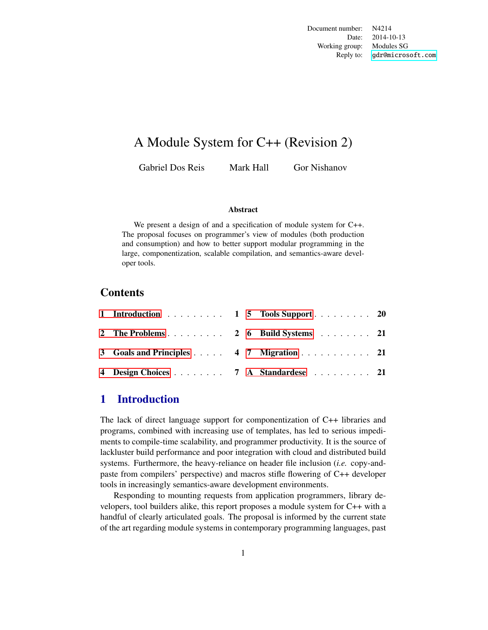Document number: N4214 Date: 2014-10-13 Working group: Modules SG Reply to: <gdr@microsoft.com>

## A Module System for C++ (Revision 2)

Gabriel Dos Reis Mark Hall Gor Nishanov

#### Abstract

We present a design of and a specification of module system for C++. The proposal focuses on programmer's view of modules (both production and consumption) and how to better support modular programming in the large, componentization, scalable compilation, and semantics-aware developer tools.

#### Contents

| 1 Introduction 1 5 Tools Support 20     |  |  |
|-----------------------------------------|--|--|
| 2 The Problems 2 6 Build Systems 21     |  |  |
| 3 Goals and Principles 4 7 Migration 21 |  |  |
| 4 Design Choices 7 A Standardese 21     |  |  |

## <span id="page-0-0"></span>1 Introduction

The lack of direct language support for componentization of C++ libraries and programs, combined with increasing use of templates, has led to serious impediments to compile-time scalability, and programmer productivity. It is the source of lackluster build performance and poor integration with cloud and distributed build systems. Furthermore, the heavy-reliance on header file inclusion (*i.e.* copy-andpaste from compilers' perspective) and macros stifle flowering of C++ developer tools in increasingly semantics-aware development environments.

Responding to mounting requests from application programmers, library developers, tool builders alike, this report proposes a module system for C++ with a handful of clearly articulated goals. The proposal is informed by the current state of the art regarding module systems in contemporary programming languages, past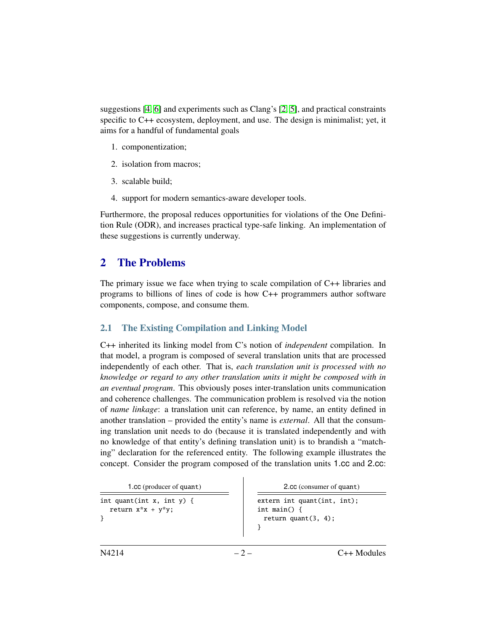suggestions [\[4,](#page-21-0) [6\]](#page-22-0) and experiments such as Clang's [\[2,](#page-21-1) [5\]](#page-22-1), and practical constraints specific to C++ ecosystem, deployment, and use. The design is minimalist; yet, it aims for a handful of fundamental goals

- 1. componentization;
- 2. isolation from macros;
- 3. scalable build;
- 4. support for modern semantics-aware developer tools.

Furthermore, the proposal reduces opportunities for violations of the One Definition Rule (ODR), and increases practical type-safe linking. An implementation of these suggestions is currently underway.

## <span id="page-1-0"></span>2 The Problems

The primary issue we face when trying to scale compilation of C++ libraries and programs to billions of lines of code is how C++ programmers author software components, compose, and consume them.

#### <span id="page-1-1"></span>2.1 The Existing Compilation and Linking Model

C++ inherited its linking model from C's notion of *independent* compilation. In that model, a program is composed of several translation units that are processed independently of each other. That is, *each translation unit is processed with no knowledge or regard to any other translation units it might be composed with in an eventual program*. This obviously poses inter-translation units communication and coherence challenges. The communication problem is resolved via the notion of *name linkage*: a translation unit can reference, by name, an entity defined in another translation – provided the entity's name is *external*. All that the consuming translation unit needs to do (because it is translated independently and with no knowledge of that entity's defining translation unit) is to brandish a "matching" declaration for the referenced entity. The following example illustrates the concept. Consider the program composed of the translation units 1.cc and 2.cc:

| 1.cc (producer of quant)                         | 2.cc (consumer of quant)                                                    |  |  |
|--------------------------------------------------|-----------------------------------------------------------------------------|--|--|
| int quant(int x, int y) {<br>return $x*x + y*y;$ | $extern$ int quant(int, int);<br>int main() $\{$<br>return quant $(3, 4)$ ; |  |  |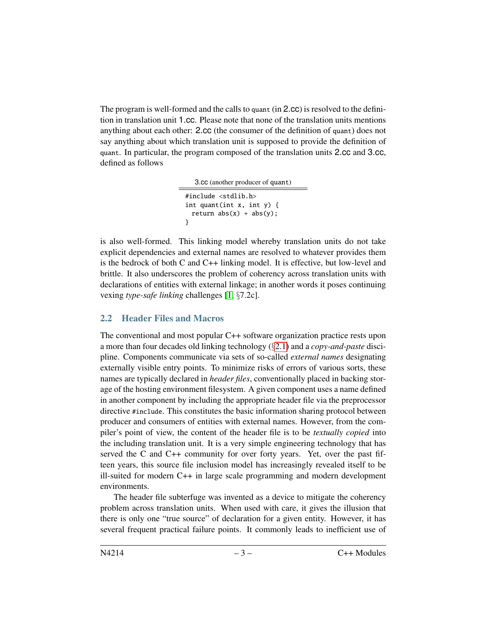The program is well-formed and the calls to quant (in 2.cc) is resolved to the definition in translation unit 1.cc. Please note that none of the translation units mentions anything about each other: 2.cc (the consumer of the definition of quant) does not say anything about which translation unit is supposed to provide the definition of quant. In particular, the program composed of the translation units 2.cc and 3.cc, defined as follows

3.cc (another producer of quant) #include <stdlib.h> int quant(int x, int y) { return  $abs(x) + abs(y)$ ; }

is also well-formed. This linking model whereby translation units do not take explicit dependencies and external names are resolved to whatever provides them is the bedrock of both C and C++ linking model. It is effective, but low-level and brittle. It also underscores the problem of coherency across translation units with declarations of entities with external linkage; in another words it poses continuing vexing *type-safe linking* challenges [\[1,](#page-21-2) §7.2c].

#### 2.2 Header Files and Macros

The conventional and most popular C++ software organization practice rests upon a more than four decades old linking technology (§[2.1\)](#page-1-1) and a *copy-and-paste* discipline. Components communicate via sets of so-called *external names* designating externally visible entry points. To minimize risks of errors of various sorts, these names are typically declared in *header files*, conventionally placed in backing storage of the hosting environment filesystem. A given component uses a name defined in another component by including the appropriate header file via the preprocessor directive #include. This constitutes the basic information sharing protocol between producer and consumers of entities with external names. However, from the compiler's point of view, the content of the header file is to be *textually copied* into the including translation unit. It is a very simple engineering technology that has served the C and C++ community for over forty years. Yet, over the past fifteen years, this source file inclusion model has increasingly revealed itself to be ill-suited for modern C++ in large scale programming and modern development environments.

The header file subterfuge was invented as a device to mitigate the coherency problem across translation units. When used with care, it gives the illusion that there is only one "true source" of declaration for a given entity. However, it has several frequent practical failure points. It commonly leads to inefficient use of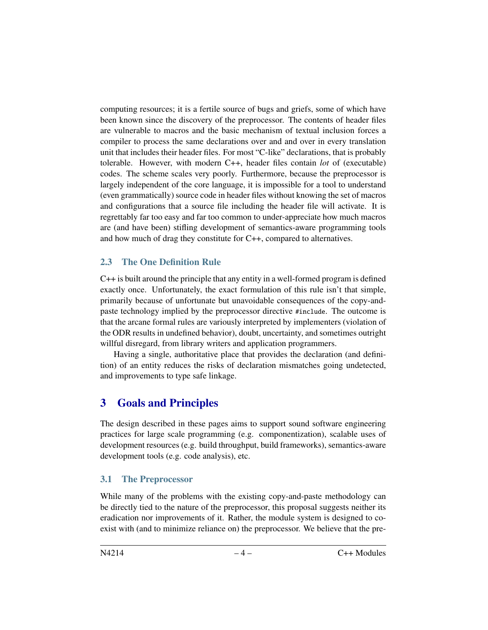computing resources; it is a fertile source of bugs and griefs, some of which have been known since the discovery of the preprocessor. The contents of header files are vulnerable to macros and the basic mechanism of textual inclusion forces a compiler to process the same declarations over and and over in every translation unit that includes their header files. For most "C-like" declarations, that is probably tolerable. However, with modern C++, header files contain *lot* of (executable) codes. The scheme scales very poorly. Furthermore, because the preprocessor is largely independent of the core language, it is impossible for a tool to understand (even grammatically) source code in header files without knowing the set of macros and configurations that a source file including the header file will activate. It is regrettably far too easy and far too common to under-appreciate how much macros are (and have been) stifling development of semantics-aware programming tools and how much of drag they constitute for C++, compared to alternatives.

#### 2.3 The One Definition Rule

C++ is built around the principle that any entity in a well-formed program is defined exactly once. Unfortunately, the exact formulation of this rule isn't that simple, primarily because of unfortunate but unavoidable consequences of the copy-andpaste technology implied by the preprocessor directive #include. The outcome is that the arcane formal rules are variously interpreted by implementers (violation of the ODR results in undefined behavior), doubt, uncertainty, and sometimes outright willful disregard, from library writers and application programmers.

Having a single, authoritative place that provides the declaration (and definition) of an entity reduces the risks of declaration mismatches going undetected, and improvements to type safe linkage.

## <span id="page-3-0"></span>3 Goals and Principles

The design described in these pages aims to support sound software engineering practices for large scale programming (e.g. componentization), scalable uses of development resources (e.g. build throughput, build frameworks), semantics-aware development tools (e.g. code analysis), etc.

#### 3.1 The Preprocessor

While many of the problems with the existing copy-and-paste methodology can be directly tied to the nature of the preprocessor, this proposal suggests neither its eradication nor improvements of it. Rather, the module system is designed to coexist with (and to minimize reliance on) the preprocessor. We believe that the pre-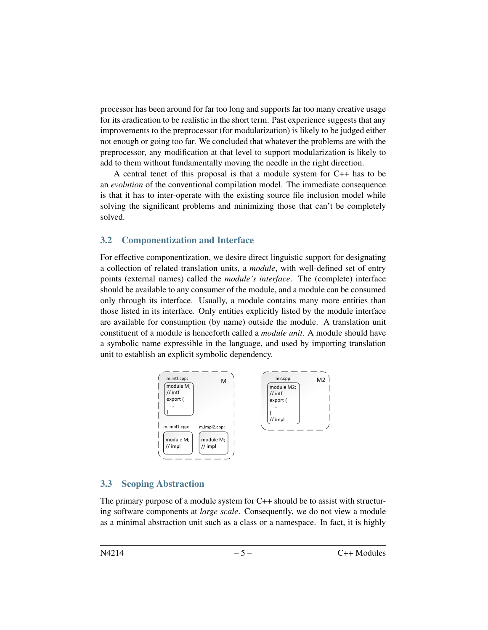processor has been around for far too long and supports far too many creative usage for its eradication to be realistic in the short term. Past experience suggests that any improvements to the preprocessor (for modularization) is likely to be judged either not enough or going too far. We concluded that whatever the problems are with the preprocessor, any modification at that level to support modularization is likely to add to them without fundamentally moving the needle in the right direction.

A central tenet of this proposal is that a module system for C++ has to be an *evolution* of the conventional compilation model. The immediate consequence is that it has to inter-operate with the existing source file inclusion model while solving the significant problems and minimizing those that can't be completely solved.

#### 3.2 Componentization and Interface

For effective componentization, we desire direct linguistic support for designating a collection of related translation units, a *module*, with well-defined set of entry points (external names) called the *module's interface*. The (complete) interface should be available to any consumer of the module, and a module can be consumed only through its interface. Usually, a module contains many more entities than those listed in its interface. Only entities explicitly listed by the module interface are available for consumption (by name) outside the module. A translation unit constituent of a module is henceforth called a *module unit*. A module should have a symbolic name expressible in the language, and used by importing translation unit to establish an explicit symbolic dependency.



#### <span id="page-4-0"></span>3.3 Scoping Abstraction

The primary purpose of a module system for C++ should be to assist with structuring software components at *large scale*. Consequently, we do not view a module as a minimal abstraction unit such as a class or a namespace. In fact, it is highly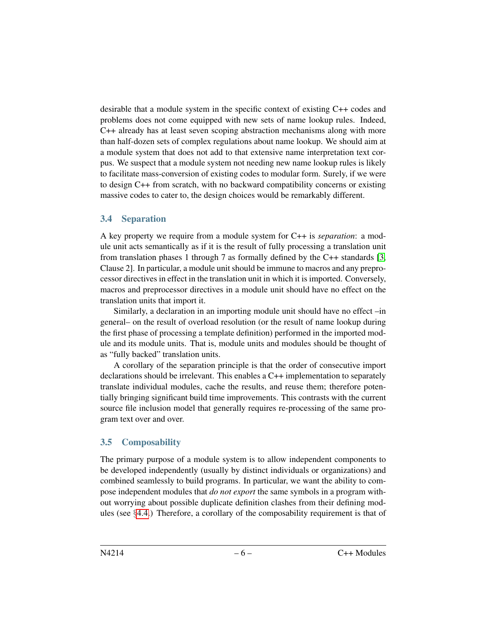desirable that a module system in the specific context of existing C++ codes and problems does not come equipped with new sets of name lookup rules. Indeed, C++ already has at least seven scoping abstraction mechanisms along with more than half-dozen sets of complex regulations about name lookup. We should aim at a module system that does not add to that extensive name interpretation text corpus. We suspect that a module system not needing new name lookup rules is likely to facilitate mass-conversion of existing codes to modular form. Surely, if we were to design C++ from scratch, with no backward compatibility concerns or existing massive codes to cater to, the design choices would be remarkably different.

#### 3.4 Separation

A key property we require from a module system for C++ is *separation*: a module unit acts semantically as if it is the result of fully processing a translation unit from translation phases 1 through 7 as formally defined by the C++ standards [\[3,](#page-21-3) Clause 2]. In particular, a module unit should be immune to macros and any preprocessor directives in effect in the translation unit in which it is imported. Conversely, macros and preprocessor directives in a module unit should have no effect on the translation units that import it.

Similarly, a declaration in an importing module unit should have no effect –in general– on the result of overload resolution (or the result of name lookup during the first phase of processing a template definition) performed in the imported module and its module units. That is, module units and modules should be thought of as "fully backed" translation units.

A corollary of the separation principle is that the order of consecutive import declarations should be irrelevant. This enables a C++ implementation to separately translate individual modules, cache the results, and reuse them; therefore potentially bringing significant build time improvements. This contrasts with the current source file inclusion model that generally requires re-processing of the same program text over and over.

#### <span id="page-5-0"></span>3.5 Composability

The primary purpose of a module system is to allow independent components to be developed independently (usually by distinct individuals or organizations) and combined seamlessly to build programs. In particular, we want the ability to compose independent modules that *do not export* the same symbols in a program without worrying about possible duplicate definition clashes from their defining modules (see  $\S 4.4.$  $\S 4.4.$ ) Therefore, a corollary of the composability requirement is that of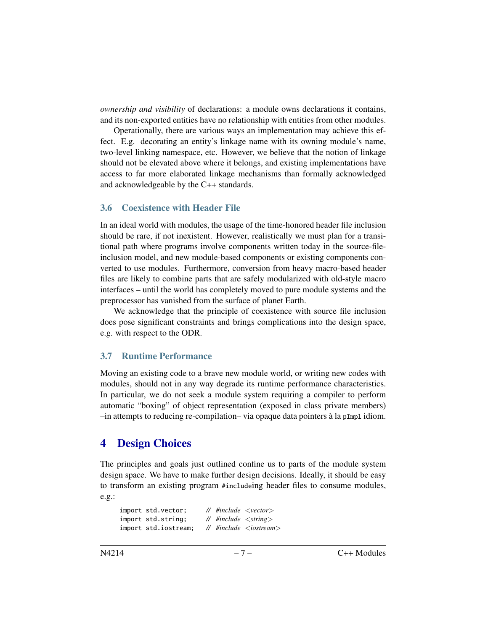*ownership and visibility* of declarations: a module owns declarations it contains, and its non-exported entities have no relationship with entities from other modules.

Operationally, there are various ways an implementation may achieve this effect. E.g. decorating an entity's linkage name with its owning module's name, two-level linking namespace, etc. However, we believe that the notion of linkage should not be elevated above where it belongs, and existing implementations have access to far more elaborated linkage mechanisms than formally acknowledged and acknowledgeable by the C++ standards.

#### 3.6 Coexistence with Header File

In an ideal world with modules, the usage of the time-honored header file inclusion should be rare, if not inexistent. However, realistically we must plan for a transitional path where programs involve components written today in the source-fileinclusion model, and new module-based components or existing components converted to use modules. Furthermore, conversion from heavy macro-based header files are likely to combine parts that are safely modularized with old-style macro interfaces – until the world has completely moved to pure module systems and the preprocessor has vanished from the surface of planet Earth.

We acknowledge that the principle of coexistence with source file inclusion does pose significant constraints and brings complications into the design space, e.g. with respect to the ODR.

#### 3.7 Runtime Performance

Moving an existing code to a brave new module world, or writing new codes with modules, should not in any way degrade its runtime performance characteristics. In particular, we do not seek a module system requiring a compiler to perform automatic "boxing" of object representation (exposed in class private members)  $-$ in attempts to reducing re-compilation– via opaque data pointers à la  $pImp1$  idiom.

## <span id="page-6-0"></span>4 Design Choices

The principles and goals just outlined confine us to parts of the module system design space. We have to make further design decisions. Ideally, it should be easy to transform an existing program #includeing header files to consume modules, e.g.:

| import std.vector;   |  | $\mathcal{U}$ #include $\langle \text{vector} \rangle$ |
|----------------------|--|--------------------------------------------------------|
| import std.string:   |  | // $\#$ include $\lt$ string $>$                       |
| import std.iostream: |  | $\frac{1}{2}$ #include <iostream></iostream>           |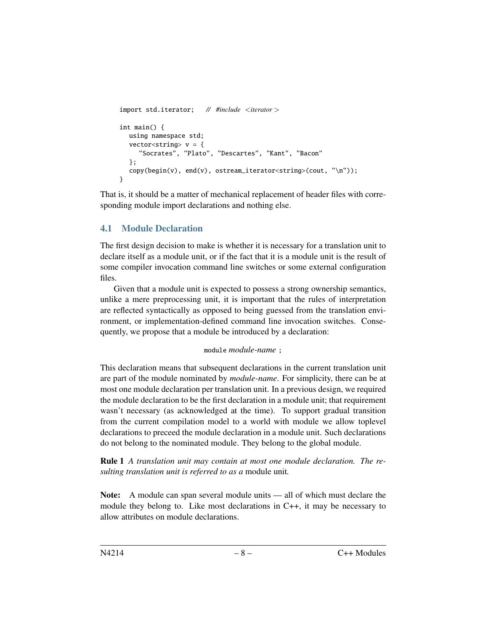```
import std.iterator; // #include <iterator >
int main() {
  using namespace std;
  vector<string> v = \{"Socrates", "Plato", "Descartes", "Kant", "Bacon"
  };
  copy(begin(v), end(v), ostream_iterator<string>(cout, "\n"));
}
```
That is, it should be a matter of mechanical replacement of header files with corresponding module import declarations and nothing else.

### 4.1 Module Declaration

The first design decision to make is whether it is necessary for a translation unit to declare itself as a module unit, or if the fact that it is a module unit is the result of some compiler invocation command line switches or some external configuration files.

Given that a module unit is expected to possess a strong ownership semantics, unlike a mere preprocessing unit, it is important that the rules of interpretation are reflected syntactically as opposed to being guessed from the translation environment, or implementation-defined command line invocation switches. Consequently, we propose that a module be introduced by a declaration:

#### module *module-name* ;

This declaration means that subsequent declarations in the current translation unit are part of the module nominated by *module-name*. For simplicity, there can be at most one module declaration per translation unit. In a previous design, we required the module declaration to be the first declaration in a module unit; that requirement wasn't necessary (as acknowledged at the time). To support gradual transition from the current compilation model to a world with module we allow toplevel declarations to preceed the module declaration in a module unit. Such declarations do not belong to the nominated module. They belong to the global module.

Rule 1 *A translation unit may contain at most one module declaration. The resulting translation unit is referred to as a* module unit*.*

Note: A module can span several module units — all of which must declare the module they belong to. Like most declarations in  $C_{++}$ , it may be necessary to allow attributes on module declarations.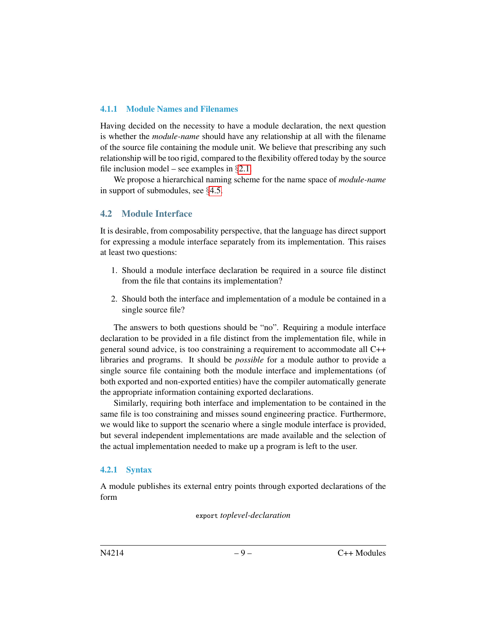#### 4.1.1 Module Names and Filenames

Having decided on the necessity to have a module declaration, the next question is whether the *module-name* should have any relationship at all with the filename of the source file containing the module unit. We believe that prescribing any such relationship will be too rigid, compared to the flexibility offered today by the source file inclusion model – see examples in  $\S 2.1$ .

We propose a hierarchical naming scheme for the name space of *module-name* in support of submodules, see §[4.5.](#page-13-0)

### 4.2 Module Interface

It is desirable, from composability perspective, that the language has direct support for expressing a module interface separately from its implementation. This raises at least two questions:

- 1. Should a module interface declaration be required in a source file distinct from the file that contains its implementation?
- 2. Should both the interface and implementation of a module be contained in a single source file?

The answers to both questions should be "no". Requiring a module interface declaration to be provided in a file distinct from the implementation file, while in general sound advice, is too constraining a requirement to accommodate all C++ libraries and programs. It should be *possible* for a module author to provide a single source file containing both the module interface and implementations (of both exported and non-exported entities) have the compiler automatically generate the appropriate information containing exported declarations.

Similarly, requiring both interface and implementation to be contained in the same file is too constraining and misses sound engineering practice. Furthermore, we would like to support the scenario where a single module interface is provided, but several independent implementations are made available and the selection of the actual implementation needed to make up a program is left to the user.

#### 4.2.1 Syntax

A module publishes its external entry points through exported declarations of the form

export *toplevel-declaration*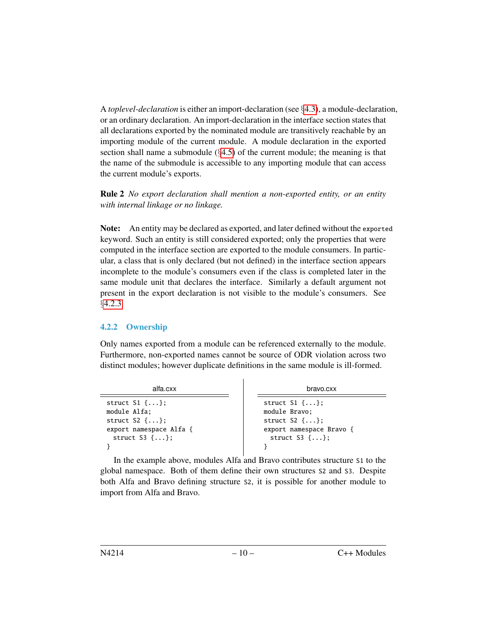A *toplevel-declaration* is either an import-declaration (see §[4.3\)](#page-11-0), a module-declaration, or an ordinary declaration. An import-declaration in the interface section states that all declarations exported by the nominated module are transitively reachable by an importing module of the current module. A module declaration in the exported section shall name a submodule  $(\S 4.5)$  $(\S 4.5)$  of the current module; the meaning is that the name of the submodule is accessible to any importing module that can access the current module's exports.

Rule 2 *No export declaration shall mention a non-exported entity, or an entity with internal linkage or no linkage.*

Note: An entity may be declared as exported, and later defined without the exported keyword. Such an entity is still considered exported; only the properties that were computed in the interface section are exported to the module consumers. In particular, a class that is only declared (but not defined) in the interface section appears incomplete to the module's consumers even if the class is completed later in the same module unit that declares the interface. Similarly a default argument not present in the export declaration is not visible to the module's consumers. See §[4.2.3.](#page-9-0)

#### 4.2.2 Ownership

Only names exported from a module can be referenced externally to the module. Furthermore, non-exported names cannot be source of ODR violation across two distinct modules; however duplicate definitions in the same module is ill-formed.

| alfa.cxx                     | bravo.cxx                   |
|------------------------------|-----------------------------|
| struct $S1$ $\{ \ldots \}$ ; | struct $S1$ {};             |
| module Alfa;                 | module Bravo:               |
| struct $S2 \{ \}$ :          | struct $S2 \{ \}$ :         |
| export namespace Alfa {      | export namespace Bravo {    |
| struct $S3$ $\{ \ldots \}$ ; | struct $S3$ $\{ \ldots \};$ |

<span id="page-9-0"></span>In the example above, modules Alfa and Bravo contributes structure S1 to the global namespace. Both of them define their own structures S2 and S3. Despite both Alfa and Bravo defining structure S2, it is possible for another module to import from Alfa and Bravo.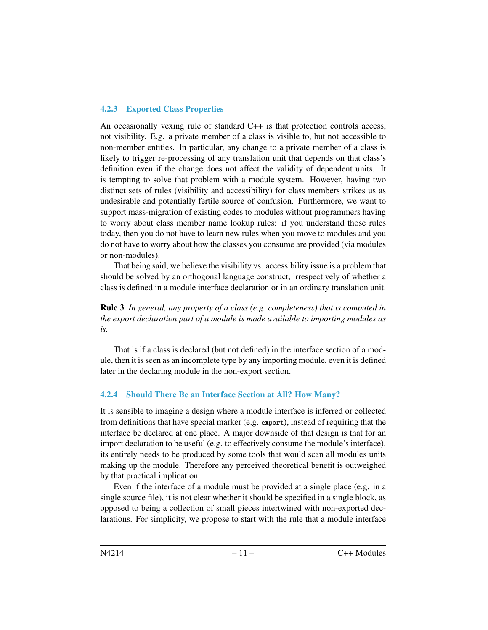#### 4.2.3 Exported Class Properties

An occasionally vexing rule of standard C++ is that protection controls access, not visibility. E.g. a private member of a class is visible to, but not accessible to non-member entities. In particular, any change to a private member of a class is likely to trigger re-processing of any translation unit that depends on that class's definition even if the change does not affect the validity of dependent units. It is tempting to solve that problem with a module system. However, having two distinct sets of rules (visibility and accessibility) for class members strikes us as undesirable and potentially fertile source of confusion. Furthermore, we want to support mass-migration of existing codes to modules without programmers having to worry about class member name lookup rules: if you understand those rules today, then you do not have to learn new rules when you move to modules and you do not have to worry about how the classes you consume are provided (via modules or non-modules).

That being said, we believe the visibility vs. accessibility issue is a problem that should be solved by an orthogonal language construct, irrespectively of whether a class is defined in a module interface declaration or in an ordinary translation unit.

Rule 3 *In general, any property of a class (e.g. completeness) that is computed in the export declaration part of a module is made available to importing modules as is.*

That is if a class is declared (but not defined) in the interface section of a module, then it is seen as an incomplete type by any importing module, even it is defined later in the declaring module in the non-export section.

#### <span id="page-10-0"></span>4.2.4 Should There Be an Interface Section at All? How Many?

It is sensible to imagine a design where a module interface is inferred or collected from definitions that have special marker (e.g. export), instead of requiring that the interface be declared at one place. A major downside of that design is that for an import declaration to be useful (e.g. to effectively consume the module's interface), its entirely needs to be produced by some tools that would scan all modules units making up the module. Therefore any perceived theoretical benefit is outweighed by that practical implication.

Even if the interface of a module must be provided at a single place (e.g. in a single source file), it is not clear whether it should be specified in a single block, as opposed to being a collection of small pieces intertwined with non-exported declarations. For simplicity, we propose to start with the rule that a module interface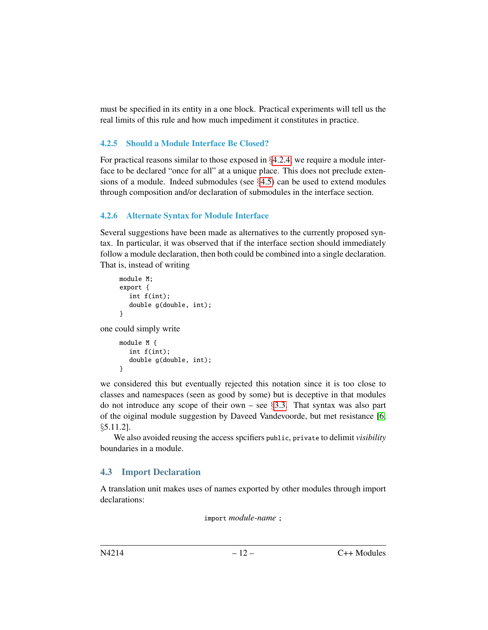must be specified in its entity in a one block. Practical experiments will tell us the real limits of this rule and how much impediment it constitutes in practice.

#### 4.2.5 Should a Module Interface Be Closed?

For practical reasons similar to those exposed in §[4.2.4,](#page-10-0) we require a module interface to be declared "once for all" at a unique place. This does not preclude extensions of a module. Indeed submodules (see  $\S4.5$ ) can be used to extend modules through composition and/or declaration of submodules in the interface section.

#### 4.2.6 Alternate Syntax for Module Interface

Several suggestions have been made as alternatives to the currently proposed syntax. In particular, it was observed that if the interface section should immediately follow a module declaration, then both could be combined into a single declaration. That is, instead of writing

```
module M;
export {
  int f(int);
  double g(double, int);
}
```
one could simply write

```
module M {
  int f(int);
  double g(double, int);
}
```
we considered this but eventually rejected this notation since it is too close to classes and namespaces (seen as good by some) but is deceptive in that modules do not introduce any scope of their own – see  $\S 3.3$ . That syntax was also part of the oiginal module suggestion by Daveed Vandevoorde, but met resistance [\[6,](#page-22-0) §5.11.2].

We also avoided reusing the access spcifiers public, private to delimit *visibility* boundaries in a module.

### <span id="page-11-0"></span>4.3 Import Declaration

A translation unit makes uses of names exported by other modules through import declarations:

import *module-name* ;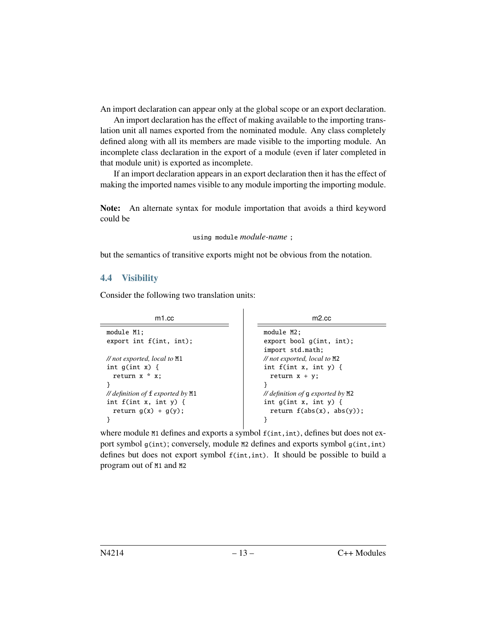An import declaration can appear only at the global scope or an export declaration.

An import declaration has the effect of making available to the importing translation unit all names exported from the nominated module. Any class completely defined along with all its members are made visible to the importing module. An incomplete class declaration in the export of a module (even if later completed in that module unit) is exported as incomplete.

If an import declaration appears in an export declaration then it has the effect of making the imported names visible to any module importing the importing module.

Note: An alternate syntax for module importation that avoids a third keyword could be

```
using module module-name ;
```
but the semantics of transitive exports might not be obvious from the notation.

#### <span id="page-12-0"></span>4.4 Visibility

Consider the following two translation units:

| m <sub>1</sub> .cc                                | $m2$ .cc                                       |  |  |
|---------------------------------------------------|------------------------------------------------|--|--|
| module M1:                                        | module M2:                                     |  |  |
| export int $f(int, int)$ ;                        | export bool $g(int, int);$                     |  |  |
|                                                   | import std.math:                               |  |  |
| $\frac{1}{\sqrt{2}}$ not exported, local to M1    | $\frac{1}{\sqrt{2}}$ not exported, local to M2 |  |  |
| int $g(int x)$ {                                  | int $f(int x, int y)$ {                        |  |  |
| return $x * x$ ;                                  | return $x + y$ ;                               |  |  |
|                                                   |                                                |  |  |
| <i>// definition of</i> $f$ <i>exported by</i> M1 | <i>// definition of g exported by</i> $M2$     |  |  |
| int $f(int x, int y)$ {                           | int $g(int x, int y)$ {                        |  |  |
| return $g(x) + g(y)$ ;                            | return $f(abs(x), abs(y))$ ;                   |  |  |
|                                                   |                                                |  |  |
|                                                   |                                                |  |  |

where module M1 defines and exports a symbol  $f(int, int)$ , defines but does not export symbol  $g(int)$ ; conversely, module M2 defines and exports symbol  $g(int, int)$ defines but does not export symbol f(int,int). It should be possible to build a program out of M1 and M2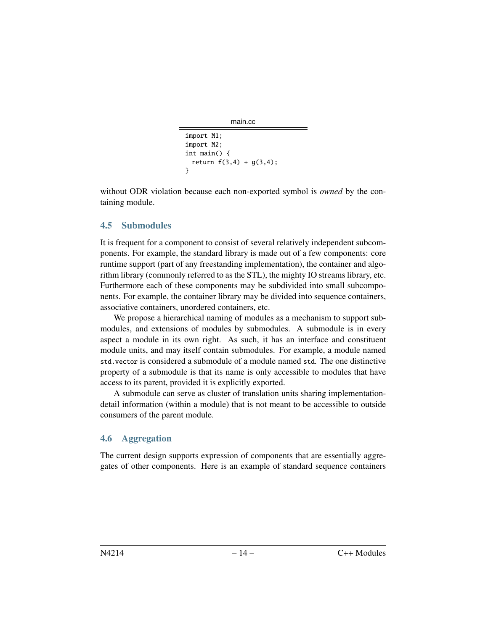```
main.cc
```

```
import M1;
import M2;
int main() {
 return f(3,4) + g(3,4);
}
```
without ODR violation because each non-exported symbol is *owned* by the containing module.

#### <span id="page-13-0"></span>4.5 Submodules

It is frequent for a component to consist of several relatively independent subcomponents. For example, the standard library is made out of a few components: core runtime support (part of any freestanding implementation), the container and algorithm library (commonly referred to as the STL), the mighty IO streams library, etc. Furthermore each of these components may be subdivided into small subcomponents. For example, the container library may be divided into sequence containers, associative containers, unordered containers, etc.

We propose a hierarchical naming of modules as a mechanism to support submodules, and extensions of modules by submodules. A submodule is in every aspect a module in its own right. As such, it has an interface and constituent module units, and may itself contain submodules. For example, a module named std.vector is considered a submodule of a module named std. The one distinctive property of a submodule is that its name is only accessible to modules that have access to its parent, provided it is explicitly exported.

A submodule can serve as cluster of translation units sharing implementationdetail information (within a module) that is not meant to be accessible to outside consumers of the parent module.

### 4.6 Aggregation

The current design supports expression of components that are essentially aggregates of other components. Here is an example of standard sequence containers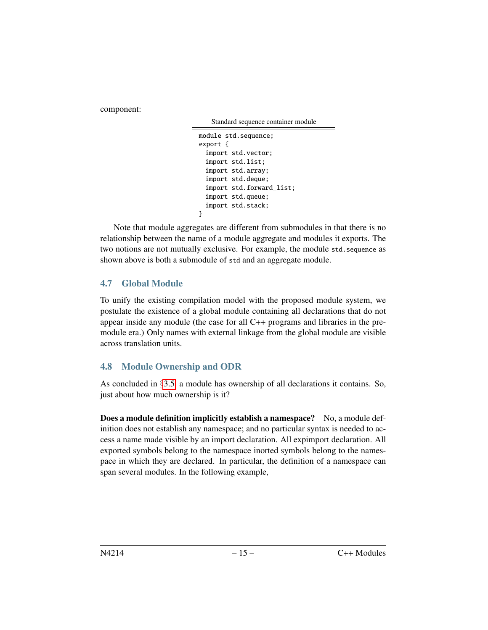component:

Standard sequence container module

```
module std.sequence;
export {
 import std.vector;
 import std.list;
 import std.array;
 import std.deque;
 import std.forward_list;
 import std.queue;
 import std.stack;
}
```
Note that module aggregates are different from submodules in that there is no relationship between the name of a module aggregate and modules it exports. The two notions are not mutually exclusive. For example, the module std.sequence as shown above is both a submodule of std and an aggregate module.

### <span id="page-14-0"></span>4.7 Global Module

To unify the existing compilation model with the proposed module system, we postulate the existence of a global module containing all declarations that do not appear inside any module (the case for all C++ programs and libraries in the premodule era.) Only names with external linkage from the global module are visible across translation units.

### 4.8 Module Ownership and ODR

As concluded in §[3.5,](#page-5-0) a module has ownership of all declarations it contains. So, just about how much ownership is it?

**Does a module definition implicitly establish a namespace?** No, a module definition does not establish any namespace; and no particular syntax is needed to access a name made visible by an import declaration. All expimport declaration. All exported symbols belong to the namespace inorted symbols belong to the namespace in which they are declared. In particular, the definition of a namespace can span several modules. In the following example,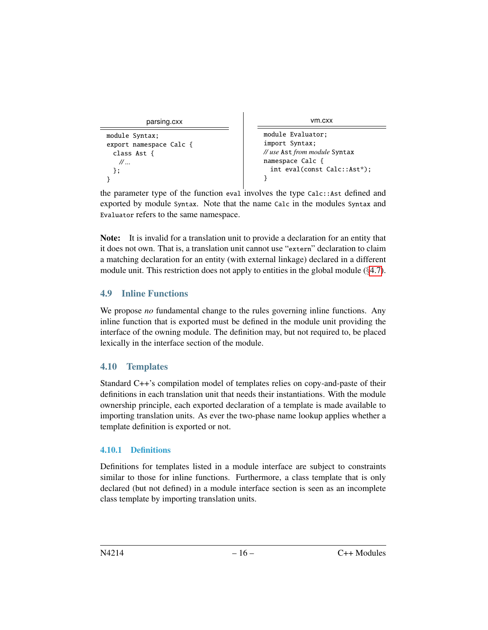```
parsing.cxx
```

```
module Syntax;
export namespace Calc {
 class Ast {
   // ...
 };
}
```
vm.cxx

```
module Evaluator;
import Syntax;
// use Ast from module Syntax
namespace Calc {
 int eval(const Calc::Ast*);
}
```
the parameter type of the function eval involves the type Calc::Ast defined and exported by module Syntax. Note that the name Calc in the modules Syntax and Evaluator refers to the same namespace.

Note: It is invalid for a translation unit to provide a declaration for an entity that it does not own. That is, a translation unit cannot use "extern" declaration to claim a matching declaration for an entity (with external linkage) declared in a different module unit. This restriction does not apply to entities in the global module (§[4.7\)](#page-14-0).

## 4.9 Inline Functions

We propose *no* fundamental change to the rules governing inline functions. Any inline function that is exported must be defined in the module unit providing the interface of the owning module. The definition may, but not required to, be placed lexically in the interface section of the module.

## 4.10 Templates

Standard C++'s compilation model of templates relies on copy-and-paste of their definitions in each translation unit that needs their instantiations. With the module ownership principle, each exported declaration of a template is made available to importing translation units. As ever the two-phase name lookup applies whether a template definition is exported or not.

## 4.10.1 Definitions

Definitions for templates listed in a module interface are subject to constraints similar to those for inline functions. Furthermore, a class template that is only declared (but not defined) in a module interface section is seen as an incomplete class template by importing translation units.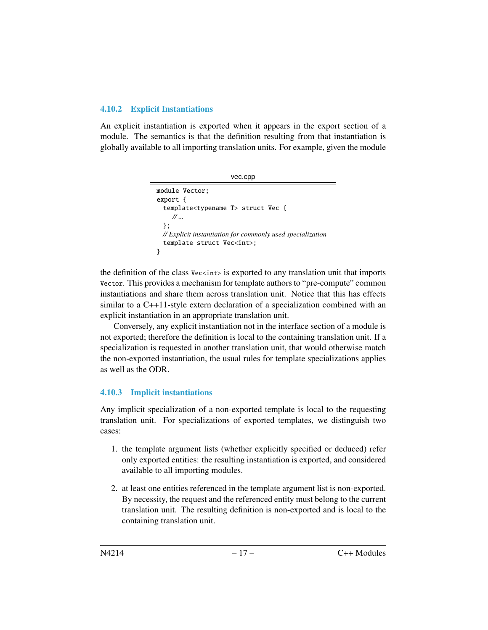#### 4.10.2 Explicit Instantiations

An explicit instantiation is exported when it appears in the export section of a module. The semantics is that the definition resulting from that instantiation is globally available to all importing translation units. For example, given the module

```
vec.cpp
module Vector;
export {
  template<typename T> struct Vec {
    // ...
  };
 // Explicit instantiation for commonly used specialization
  template struct Vec<int>;
}
```
the definition of the class  $Vecint$  is exported to any translation unit that imports Vector. This provides a mechanism for template authors to "pre-compute" common instantiations and share them across translation unit. Notice that this has effects similar to a C++11-style extern declaration of a specialization combined with an explicit instantiation in an appropriate translation unit.

Conversely, any explicit instantiation not in the interface section of a module is not exported; therefore the definition is local to the containing translation unit. If a specialization is requested in another translation unit, that would otherwise match the non-exported instantiation, the usual rules for template specializations applies as well as the ODR.

### 4.10.3 Implicit instantiations

Any implicit specialization of a non-exported template is local to the requesting translation unit. For specializations of exported templates, we distinguish two cases:

- 1. the template argument lists (whether explicitly specified or deduced) refer only exported entities: the resulting instantiation is exported, and considered available to all importing modules.
- 2. at least one entities referenced in the template argument list is non-exported. By necessity, the request and the referenced entity must belong to the current translation unit. The resulting definition is non-exported and is local to the containing translation unit.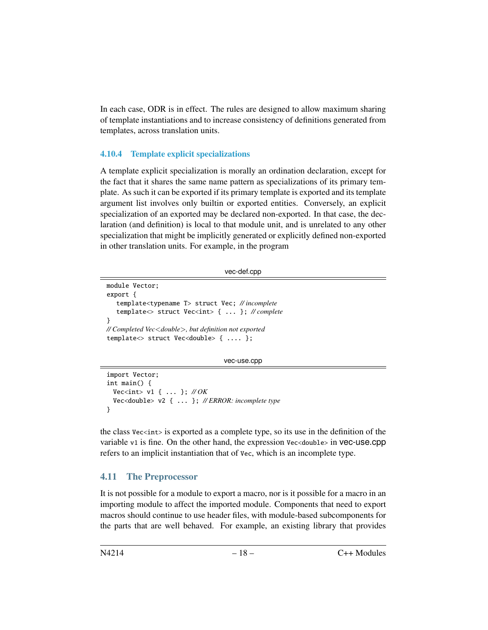In each case, ODR is in effect. The rules are designed to allow maximum sharing of template instantiations and to increase consistency of definitions generated from templates, across translation units.

#### 4.10.4 Template explicit specializations

A template explicit specialization is morally an ordination declaration, except for the fact that it shares the same name pattern as specializations of its primary template. As such it can be exported if its primary template is exported and its template argument list involves only builtin or exported entities. Conversely, an explicit specialization of an exported may be declared non-exported. In that case, the declaration (and definition) is local to that module unit, and is unrelated to any other specialization that might be implicitly generated or explicitly defined non-exported in other translation units. For example, in the program

```
vec-def.cpp
```

```
module Vector;
export {
  template<typename T> struct Vec; // incomplete
   template<> struct Vec<int> { ... }; // complete
}
// Completed Vec<double>, but definition not exported
template > struct Vec < double > { .... };
```
vec-use.cpp

```
import Vector;
int main() {
 Vec<int> v1 { ... }; // OK
 Vec<double> v2 { ... }; // ERROR: incomplete type
}
```
the class Vec<int> is exported as a complete type, so its use in the definition of the variable v1 is fine. On the other hand, the expression Vec<double> in Vec-use.cpp refers to an implicit instantiation that of Vec, which is an incomplete type.

#### 4.11 The Preprocessor

It is not possible for a module to export a macro, nor is it possible for a macro in an importing module to affect the imported module. Components that need to export macros should continue to use header files, with module-based subcomponents for the parts that are well behaved. For example, an existing library that provides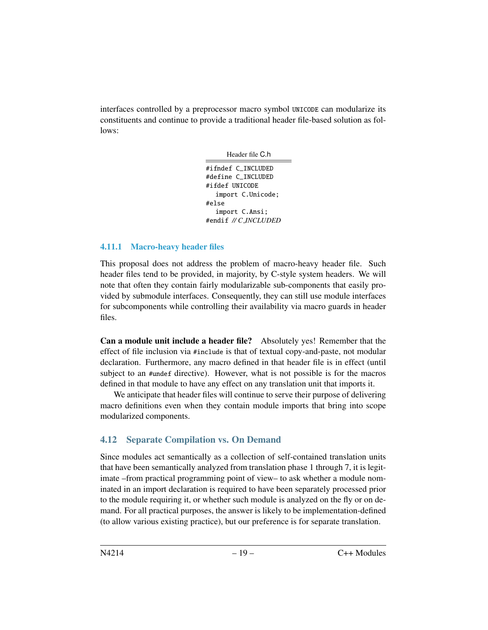interfaces controlled by a preprocessor macro symbol UNICODE can modularize its constituents and continue to provide a traditional header file-based solution as follows:

Header file C.h

#ifndef C\_INCLUDED #define C\_INCLUDED #ifdef UNICODE import C.Unicode; #else import C.Ansi; #endif *// C INCLUDED*

#### 4.11.1 Macro-heavy header files

This proposal does not address the problem of macro-heavy header file. Such header files tend to be provided, in majority, by C-style system headers. We will note that often they contain fairly modularizable sub-components that easily provided by submodule interfaces. Consequently, they can still use module interfaces for subcomponents while controlling their availability via macro guards in header files.

Can a module unit include a header file? Absolutely yes! Remember that the effect of file inclusion via #include is that of textual copy-and-paste, not modular declaration. Furthermore, any macro defined in that header file is in effect (until subject to an #undef directive). However, what is not possible is for the macros defined in that module to have any effect on any translation unit that imports it.

We anticipate that header files will continue to serve their purpose of delivering macro definitions even when they contain module imports that bring into scope modularized components.

#### 4.12 Separate Compilation vs. On Demand

Since modules act semantically as a collection of self-contained translation units that have been semantically analyzed from translation phase 1 through 7, it is legitimate –from practical programming point of view– to ask whether a module nominated in an import declaration is required to have been separately processed prior to the module requiring it, or whether such module is analyzed on the fly or on demand. For all practical purposes, the answer is likely to be implementation-defined (to allow various existing practice), but our preference is for separate translation.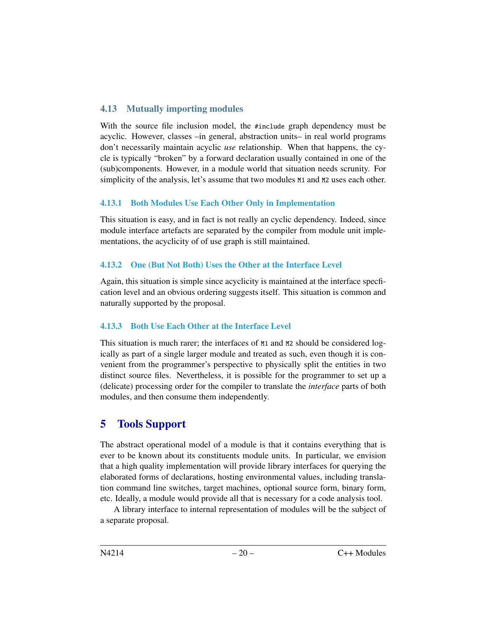### 4.13 Mutually importing modules

With the source file inclusion model, the #include graph dependency must be acyclic. However, classes –in general, abstraction units– in real world programs don't necessarily maintain acyclic *use* relationship. When that happens, the cycle is typically "broken" by a forward declaration usually contained in one of the (sub)components. However, in a module world that situation needs scrunity. For simplicity of the analysis, let's assume that two modules  $M1$  and  $M2$  uses each other.

#### 4.13.1 Both Modules Use Each Other Only in Implementation

This situation is easy, and in fact is not really an cyclic dependency. Indeed, since module interface artefacts are separated by the compiler from module unit implementations, the acyclicity of of use graph is still maintained.

### 4.13.2 One (But Not Both) Uses the Other at the Interface Level

Again, this situation is simple since acyclicity is maintained at the interface specfication level and an obvious ordering suggests itself. This situation is common and naturally supported by the proposal.

### 4.13.3 Both Use Each Other at the Interface Level

This situation is much rarer; the interfaces of  $M1$  and  $M2$  should be considered logically as part of a single larger module and treated as such, even though it is convenient from the programmer's perspective to physically split the entities in two distinct source files. Nevertheless, it is possible for the programmer to set up a (delicate) processing order for the compiler to translate the *interface* parts of both modules, and then consume them independently.

## <span id="page-19-0"></span>5 Tools Support

The abstract operational model of a module is that it contains everything that is ever to be known about its constituents module units. In particular, we envision that a high quality implementation will provide library interfaces for querying the elaborated forms of declarations, hosting environmental values, including translation command line switches, target machines, optional source form, binary form, etc. Ideally, a module would provide all that is necessary for a code analysis tool.

A library interface to internal representation of modules will be the subject of a separate proposal.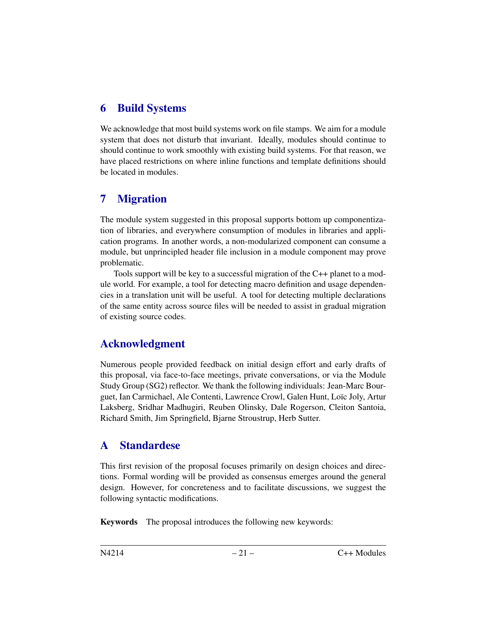## <span id="page-20-0"></span>6 Build Systems

We acknowledge that most build systems work on file stamps. We aim for a module system that does not disturb that invariant. Ideally, modules should continue to should continue to work smoothly with existing build systems. For that reason, we have placed restrictions on where inline functions and template definitions should be located in modules.

## <span id="page-20-1"></span>7 Migration

The module system suggested in this proposal supports bottom up componentization of libraries, and everywhere consumption of modules in libraries and application programs. In another words, a non-modularized component can consume a module, but unprincipled header file inclusion in a module component may prove problematic.

Tools support will be key to a successful migration of the C++ planet to a module world. For example, a tool for detecting macro definition and usage dependencies in a translation unit will be useful. A tool for detecting multiple declarations of the same entity across source files will be needed to assist in gradual migration of existing source codes.

## Acknowledgment

Numerous people provided feedback on initial design effort and early drafts of this proposal, via face-to-face meetings, private conversations, or via the Module Study Group (SG2) reflector. We thank the following individuals: Jean-Marc Bourguet, Ian Carmichael, Ale Contenti, Lawrence Crowl, Galen Hunt, Loïc Joly, Artur Laksberg, Sridhar Madhugiri, Reuben Olinsky, Dale Rogerson, Cleiton Santoia, Richard Smith, Jim Springfield, Bjarne Stroustrup, Herb Sutter.

# <span id="page-20-2"></span>A Standardese

This first revision of the proposal focuses primarily on design choices and directions. Formal wording will be provided as consensus emerges around the general design. However, for concreteness and to facilitate discussions, we suggest the following syntactic modifications.

Keywords The proposal introduces the following new keywords: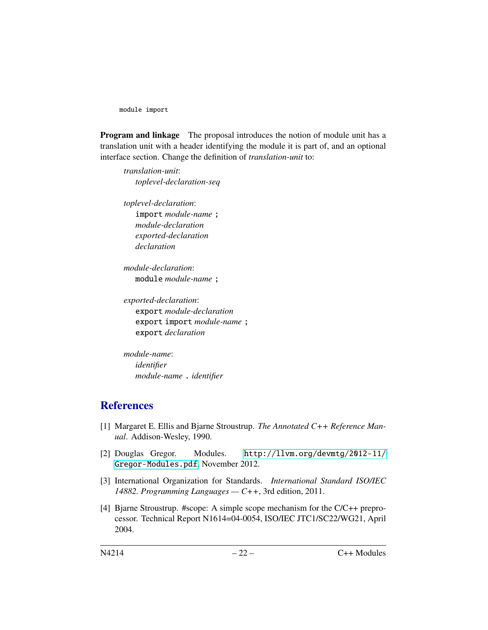module import

Program and linkage The proposal introduces the notion of module unit has a translation unit with a header identifying the module it is part of, and an optional interface section. Change the definition of *translation-unit* to:

*translation-unit*: *toplevel-declaration-seq*

*toplevel-declaration*: import *module-name* ; *module-declaration exported-declaration declaration*

*module-declaration*: module *module-name* ;

*exported-declaration*: export *module-declaration* export import *module-name* ; export *declaration*

*module-name*: *identifier module-name* . *identifier*

## **References**

- <span id="page-21-2"></span>[1] Margaret E. Ellis and Bjarne Stroustrup. *The Annotated C++ Reference Manual*. Addison-Wesley, 1990.
- <span id="page-21-1"></span>[2] Douglas Gregor. Modules. [http://llvm.org/devmtg/2012-11/](http://llvm.org/devmtg/2012-11/Gregor-Modules.pdf) [Gregor-Modules.pdf](http://llvm.org/devmtg/2012-11/Gregor-Modules.pdf), November 2012.
- <span id="page-21-3"></span>[3] International Organization for Standards. *International Standard ISO/IEC 14882. Programming Languages — C++*, 3rd edition, 2011.
- <span id="page-21-0"></span>[4] Bjarne Stroustrup. #scope: A simple scope mechanism for the C/C++ preprocessor. Technical Report N1614=04-0054, ISO/IEC JTC1/SC22/WG21, April 2004.